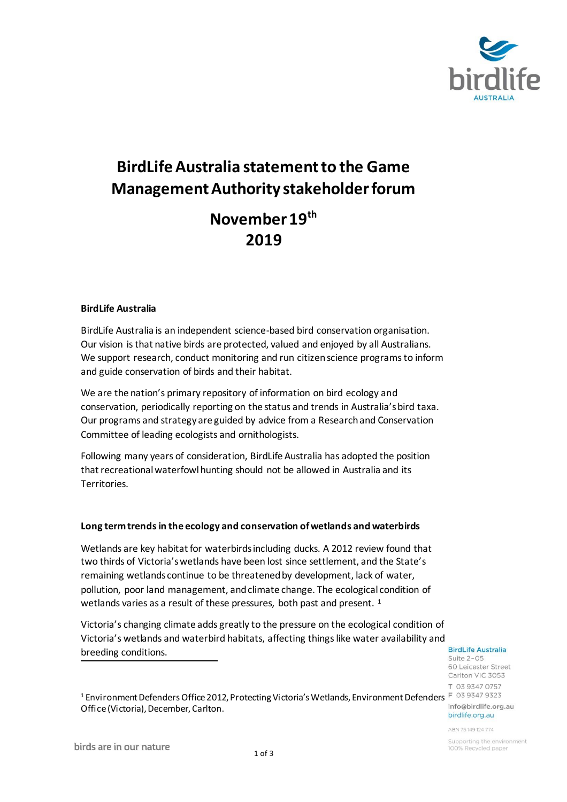

# **BirdLife Australia statement to the Game Management Authority stakeholder forum**

## **November 19th 2019**

#### **BirdLife Australia**

BirdLife Australia is an independent science-based bird conservation organisation. Our vision is that native birds are protected, valued and enjoyed by all Australians. We support research, conduct monitoring and run citizen science programs to inform and guide conservation of birds and their habitat.

We are the nation's primary repository of information on bird ecology and conservation, periodically reporting on the status and trends in Australia's bird taxa. Our programs and strategy are guided by advice from a Research and Conservation Committee of leading ecologists and ornithologists.

Following many years of consideration, BirdLife Australia has adopted the position that recreational waterfowl hunting should not be allowed in Australia and its Territories.

#### **Long term trends in the ecology and conservation of wetlands and waterbirds**

Wetlands are key habitat for waterbirds including ducks. A 2012 review found that two thirds of Victoria's wetlands have been lost since settlement, and the State's remaining wetlands continue to be threatened by development, lack of water, pollution, poor land management, and climate change. The ecological condition of wetlands varies as a result of these pressures, both past and present. <sup>1</sup>

Victoria's changing climate adds greatly to the pressure on the ecological condition of Victoria's wetlands and waterbird habitats, affecting things like water availability and breeding conditions.

**BirdLife Australia** 

Suite 2-05 60 Leicester Street Carlton VIC 3053 T 03 9347 0757 info@birdlife.org.au birdlife.org.au

ABN 75149124774

<sup>1</sup> Environment Defenders Office 2012, Protecting Victoria's Wetlands, Environment Defenders F 03 9347 9323 Office (Victoria), December, Carlton.

Supporting the environment 100% Recycled paper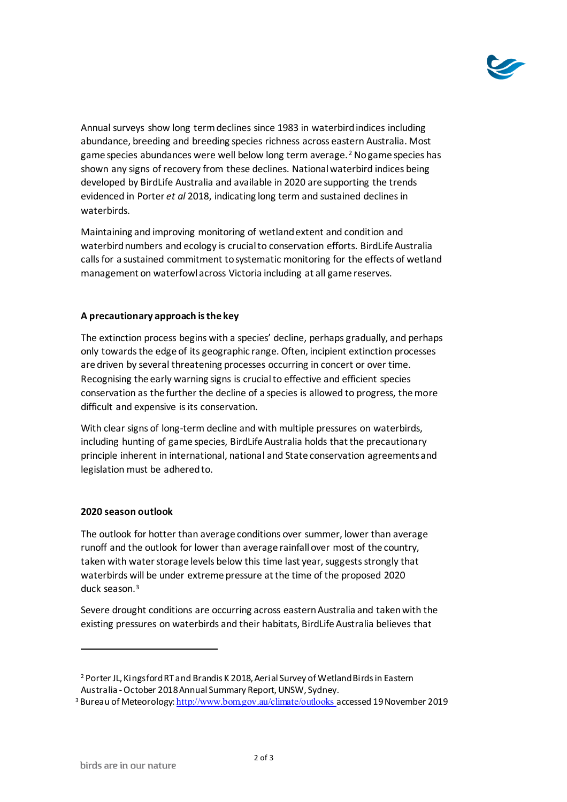

Annual surveys show long term declines since 1983 in waterbird indices including abundance, breeding and breeding species richness across eastern Australia. Most game species abundances were well below long term average. <sup>2</sup> No game species has shown any signs of recovery from these declines. National waterbird indices being developed by BirdLife Australia and available in 2020 are supporting the trends evidenced in Porter *et al* 2018, indicating long term and sustained declines in waterbirds.

Maintaining and improving monitoring of wetland extent and condition and waterbird numbers and ecology is crucial to conservation efforts. BirdLife Australia calls for a sustained commitment to systematic monitoring for the effects of wetland management on waterfowl across Victoria including at all game reserves.

### **A precautionary approach is the key**

The extinction process begins with a species' decline, perhaps gradually, and perhaps only towards the edge of its geographic range. Often, incipient extinction processes are driven by several threatening processes occurring in concert or over time. Recognising the early warning signs is crucial to effective and efficient species conservation as the further the decline of a species is allowed to progress, the more difficult and expensive is its conservation.

With clear signs of long-term decline and with multiple pressures on waterbirds, including hunting of game species, BirdLife Australia holds that the precautionary principle inherent in international, national and State conservation agreements and legislation must be adhered to.

#### **2020 season outlook**

The outlook for hotter than average conditions over summer, lower than average runoff and the outlook for lower than average rainfall over most of the country, taken with water storage levels below this time last year, suggests strongly that waterbirds will be under extreme pressure at the time of the proposed 2020 duck season.<sup>3</sup>

Severe drought conditions are occurring across eastern Australia and taken with the existing pressures on waterbirds and their habitats, BirdLife Australia believes that

<sup>3</sup> Bureau of Meteorology: <http://www.bom.gov.au/climate/outlooks> accessed 19 November 2019

<sup>2</sup>Porter JL, Kingsford RT and Brandis K 2018, Aerial Survey of Wetland Birds in Eastern Australia -October 2018 Annual Summary Report, UNSW, Sydney.